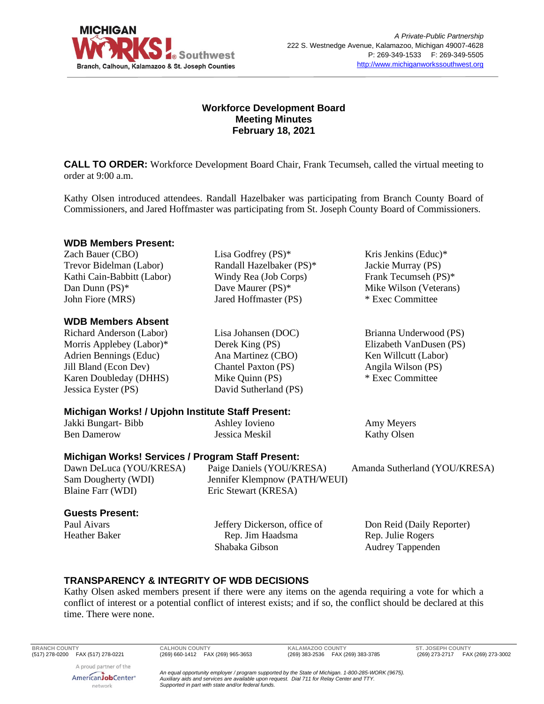

## **Workforce Development Board Meeting Minutes February 18, 2021**

**CALL TO ORDER:** Workforce Development Board Chair, Frank Tecumseh, called the virtual meeting to order at 9:00 a.m.

Kathy Olsen introduced attendees. Randall Hazelbaker was participating from Branch County Board of Commissioners, and Jared Hoffmaster was participating from St. Joseph County Board of Commissioners.

### **WDB Members Present:**

Zach Bauer (CBO) Trevor Bidelman (Labor) Kathi Cain-Babbitt (Labor) Dan Dunn (PS)\* John Fiore (MRS)

### **WDB Members Absent**

Richard Anderson (Labor) Morris Applebey (Labor)\* Adrien Bennings (Educ) Jill Bland (Econ Dev) Karen Doubleday (DHHS) Jessica Eyster (PS)

Lisa Godfrey (PS)\* Randall Hazelbaker (PS)\* Windy Rea (Job Corps) Dave Maurer (PS)\* Jared Hoffmaster (PS)

Lisa Johansen (DOC) Derek King (PS) Ana Martinez (CBO) Chantel Paxton (PS) Mike Quinn (PS) David Sutherland (PS) Kris Jenkins (Educ)\* Jackie Murray (PS) Frank Tecumseh (PS)\* Mike Wilson (Veterans) \* Exec Committee

Brianna Underwood (PS) Elizabeth VanDusen (PS) Ken Willcutt (Labor) Angila Wilson (PS) \* Exec Committee

# **Michigan Works! / Upjohn Institute Staff Present:**

| Jakki Bungart-Bibb | Ashley Iovieno | Amy Meyers         |
|--------------------|----------------|--------------------|
| <b>Ben Damerow</b> | Jessica Meskil | <b>Kathy Olsen</b> |

### **Michigan Works! Services / Program Staff Present:**

| Paige Daniels (YOU/KRESA)     | Amanda Sutherland (YOU/KRESA) |
|-------------------------------|-------------------------------|
| Jennifer Klempnow (PATH/WEUI) |                               |
| Eric Stewart (KRESA)          |                               |
|                               |                               |

#### **Guests Present:**

Paul Aivars Heather Baker Jeffery Dickerson, office of Rep. Jim Haadsma Shabaka Gibson

Don Reid (Daily Reporter) Rep. Julie Rogers Audrey Tappenden

## **TRANSPARENCY & INTEGRITY OF WDB DECISIONS**

Kathy Olsen asked members present if there were any items on the agenda requiring a vote for which a conflict of interest or a potential conflict of interest exists; and if so, the conflict should be declared at this time. There were none.

A proud partner of the AmericanJobCenter<sup>®</sup> network

**BRANCH COUNTY CALHOUN COUNTY KALAMAZOO COUNTY ST. JOSEPH COUNTY**

(269) 273-2717 FAX (269) 273-3002

*An equal opportunity employer / program supported by the State of Michigan. 1-800-285-WORK (9675). Auxiliary aids and services are available upon request. Dial 711 for Relay Center and TTY. Supported in part with state and/or federal funds.*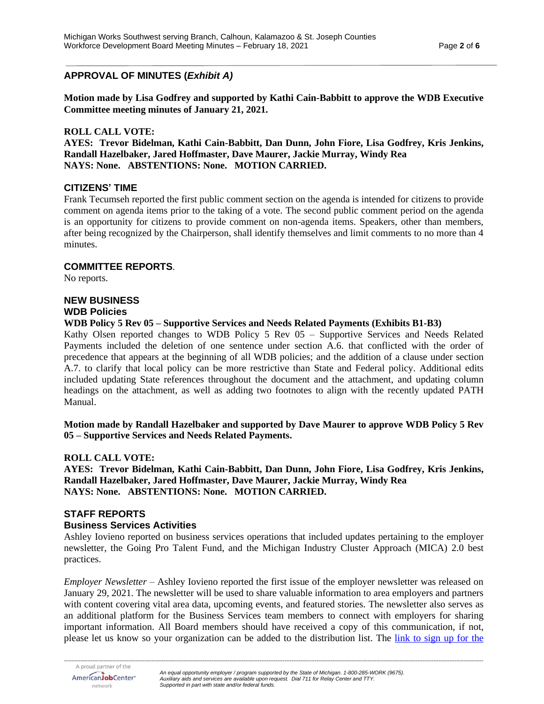## **APPROVAL OF MINUTES (***Exhibit A)*

**Motion made by Lisa Godfrey and supported by Kathi Cain-Babbitt to approve the WDB Executive Committee meeting minutes of January 21, 2021.** 

### **ROLL CALL VOTE:**

**AYES: Trevor Bidelman, Kathi Cain-Babbitt, Dan Dunn, John Fiore, Lisa Godfrey, Kris Jenkins, Randall Hazelbaker, Jared Hoffmaster, Dave Maurer, Jackie Murray, Windy Rea NAYS: None. ABSTENTIONS: None. MOTION CARRIED.**

### **CITIZENS' TIME**

Frank Tecumseh reported the first public comment section on the agenda is intended for citizens to provide comment on agenda items prior to the taking of a vote. The second public comment period on the agenda is an opportunity for citizens to provide comment on non-agenda items. Speakers, other than members, after being recognized by the Chairperson, shall identify themselves and limit comments to no more than 4 minutes.

#### **COMMITTEE REPORTS**.

No reports.

## **NEW BUSINESS WDB Policies**

**WDB Policy 5 Rev 05 – Supportive Services and Needs Related Payments (Exhibits B1-B3)**

Kathy Olsen reported changes to WDB Policy 5 Rev 05 – Supportive Services and Needs Related Payments included the deletion of one sentence under section A.6. that conflicted with the order of precedence that appears at the beginning of all WDB policies; and the addition of a clause under section A.7. to clarify that local policy can be more restrictive than State and Federal policy. Additional edits included updating State references throughout the document and the attachment, and updating column headings on the attachment, as well as adding two footnotes to align with the recently updated PATH Manual.

**Motion made by Randall Hazelbaker and supported by Dave Maurer to approve WDB Policy 5 Rev 05 – Supportive Services and Needs Related Payments.** 

#### **ROLL CALL VOTE:**

**AYES: Trevor Bidelman, Kathi Cain-Babbitt, Dan Dunn, John Fiore, Lisa Godfrey, Kris Jenkins, Randall Hazelbaker, Jared Hoffmaster, Dave Maurer, Jackie Murray, Windy Rea NAYS: None. ABSTENTIONS: None. MOTION CARRIED.**

### **STAFF REPORTS**

#### **Business Services Activities**

Ashley Iovieno reported on business services operations that included updates pertaining to the employer newsletter, the Going Pro Talent Fund, and the Michigan Industry Cluster Approach (MICA) 2.0 best practices.

*Employer Newsletter* – Ashley Iovieno reported the first issue of the employer newsletter was released on January 29, 2021. The newsletter will be used to share valuable information to area employers and partners with content covering vital area data, upcoming events, and featured stories. The newsletter also serves as an additional platform for the Business Services team members to connect with employers for sharing important information. All Board members should have received a copy of this communication, if not, please let us know so your organization can be added to the distribution list. The [link to sign](https://www.michiganworkssouthwest.org/employers/business-services/) up for the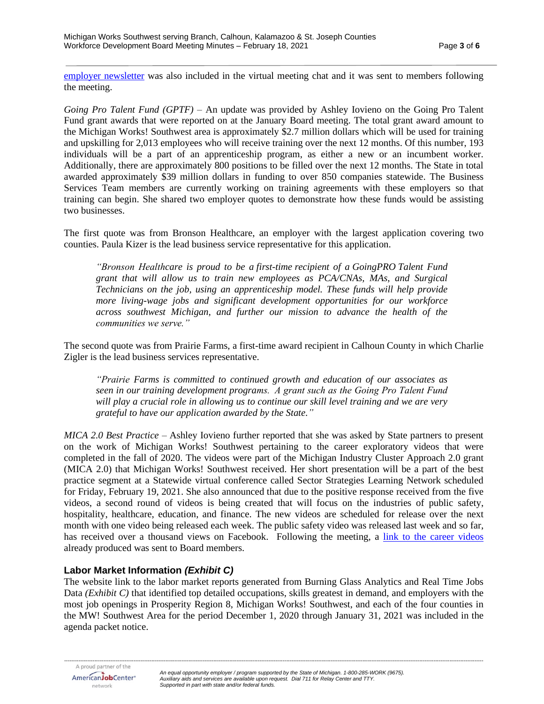[employer newsletter](https://www.michiganworkssouthwest.org/employers/business-services/) was also included in the virtual meeting chat and it was sent to members following the meeting.

*Going Pro Talent Fund (GPTF)* – An update was provided by Ashley Iovieno on the Going Pro Talent Fund grant awards that were reported on at the January Board meeting. The total grant award amount to the Michigan Works! Southwest area is approximately \$2.7 million dollars which will be used for training and upskilling for 2,013 employees who will receive training over the next 12 months. Of this number, 193 individuals will be a part of an apprenticeship program, as either a new or an incumbent worker. Additionally, there are approximately 800 positions to be filled over the next 12 months. The State in total awarded approximately \$39 million dollars in funding to over 850 companies statewide. The Business Services Team members are currently working on training agreements with these employers so that training can begin. She shared two employer quotes to demonstrate how these funds would be assisting two businesses.

The first quote was from Bronson Healthcare, an employer with the largest application covering two counties. Paula Kizer is the lead business service representative for this application.

*"Bronson Healthcare is proud to be a first-time recipient of a GoingPRO Talent Fund grant that will allow us to train new employees as PCA/CNAs, MAs, and Surgical Technicians on the job, using an apprenticeship model. These funds will help provide more living-wage jobs and significant development opportunities for our workforce across southwest Michigan, and further our mission to advance the health of the communities we serve."*

The second quote was from Prairie Farms, a first-time award recipient in Calhoun County in which Charlie Zigler is the lead business services representative.

*"Prairie Farms is committed to continued growth and education of our associates as seen in our training development programs.  A grant such as the Going Pro Talent Fund will play a crucial role in allowing us to continue our skill level training and we are very grateful to have our application awarded by the State."* 

*MICA 2.0 Best Practice* – Ashley Iovieno further reported that she was asked by State partners to present on the work of Michigan Works! Southwest pertaining to the career exploratory videos that were completed in the fall of 2020. The videos were part of the Michigan Industry Cluster Approach 2.0 grant (MICA 2.0) that Michigan Works! Southwest received. Her short presentation will be a part of the best practice segment at a Statewide virtual conference called Sector Strategies Learning Network scheduled for Friday, February 19, 2021. She also announced that due to the positive response received from the five videos, a second round of videos is being created that will focus on the industries of public safety, hospitality, healthcare, education, and finance. The new videos are scheduled for release over the next month with one video being released each week. The public safety video was released last week and so far, has received over a thousand views on Facebook. Following the meeting, a [link to the career videos](https://www.michiganworkssouthwest.org/resources/career-stories/) already produced was sent to Board members.

## **Labor Market Information** *(Exhibit C)*

The website link to the labor market reports generated from Burning Glass Analytics and Real Time Jobs Data *(Exhibit C)* that identified top detailed occupations, skills greatest in demand, and employers with the most job openings in Prosperity Region 8, Michigan Works! Southwest, and each of the four counties in the MW! Southwest Area for the period December 1, 2020 through January 31, 2021 was included in the agenda packet notice.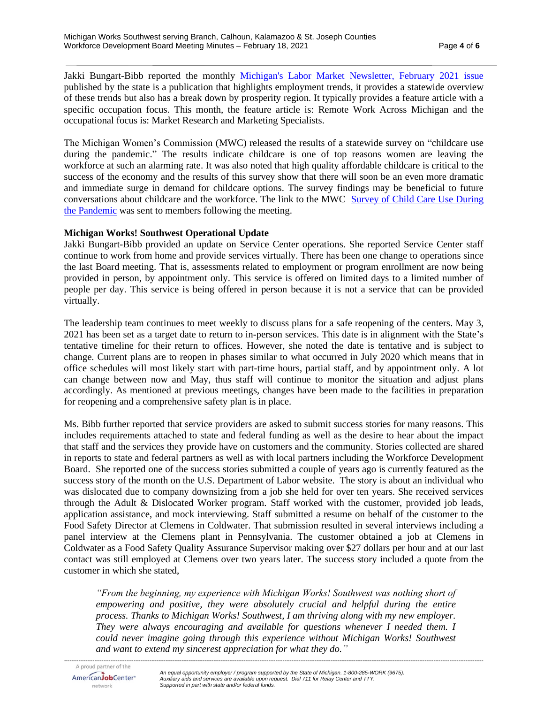Jakki Bungart-Bibb reported the monthly [Michigan's Labor Market Newsletter, February](http://milmi.org/LMN/michigans-labor-market-news-february-2021) 2021 issue published by the state is a publication that highlights employment trends, it provides a statewide overview of these trends but also has a break down by prosperity region. It typically provides a feature article with a specific occupation focus. This month, the feature article is: Remote Work Across Michigan and the occupational focus is: Market Research and Marketing Specialists.

The Michigan Women's Commission (MWC) released the results of a statewide survey on "childcare use during the pandemic." The results indicate childcare is one of top reasons women are leaving the workforce at such an alarming rate. It was also noted that high quality affordable childcare is critical to the success of the economy and the results of this survey show that there will soon be an even more dramatic and immediate surge in demand for childcare options. The survey findings may be beneficial to future conversations about childcare and the workforce. The link to the MWC [Survey of Child Care Use](https://www.michigan.gov/documents/mwc/MWC-COVID19_Child_Care_Use_Survey_Result_PPT_1-26-21_715331_7.pdf) During [the Pandemic](https://www.michigan.gov/documents/mwc/MWC-COVID19_Child_Care_Use_Survey_Result_PPT_1-26-21_715331_7.pdf) was sent to members following the meeting.

### **Michigan Works! Southwest Operational Update**

Jakki Bungart-Bibb provided an update on Service Center operations. She reported Service Center staff continue to work from home and provide services virtually. There has been one change to operations since the last Board meeting. That is, assessments related to employment or program enrollment are now being provided in person, by appointment only. This service is offered on limited days to a limited number of people per day. This service is being offered in person because it is not a service that can be provided virtually.

The leadership team continues to meet weekly to discuss plans for a safe reopening of the centers. May 3, 2021 has been set as a target date to return to in-person services. This date is in alignment with the State's tentative timeline for their return to offices. However, she noted the date is tentative and is subject to change. Current plans are to reopen in phases similar to what occurred in July 2020 which means that in office schedules will most likely start with part-time hours, partial staff, and by appointment only. A lot can change between now and May, thus staff will continue to monitor the situation and adjust plans accordingly. As mentioned at previous meetings, changes have been made to the facilities in preparation for reopening and a comprehensive safety plan is in place.

Ms. Bibb further reported that service providers are asked to submit success stories for many reasons. This includes requirements attached to state and federal funding as well as the desire to hear about the impact that staff and the services they provide have on customers and the community. Stories collected are shared in reports to state and federal partners as well as with local partners including the Workforce Development Board. She reported one of the success stories submitted a couple of years ago is currently featured as the success story of the month on the U.S. Department of Labor website. The story is about an individual who was dislocated due to company downsizing from a job she held for over ten years. She received services through the Adult & Dislocated Worker program. Staff worked with the customer, provided job leads, application assistance, and mock interviewing. Staff submitted a resume on behalf of the customer to the Food Safety Director at Clemens in Coldwater. That submission resulted in several interviews including a panel interview at the Clemens plant in Pennsylvania. The customer obtained a job at Clemens in Coldwater as a Food Safety Quality Assurance Supervisor making over \$27 dollars per hour and at our last contact was still employed at Clemens over two years later. The success story included a quote from the customer in which she stated,

*"From the beginning, my experience with Michigan Works! Southwest was nothing short of empowering and positive, they were absolutely crucial and helpful during the entire process. Thanks to Michigan Works! Southwest, I am thriving along with my new employer. They were always encouraging and available for questions whenever I needed them. I* could never imagine going through this experience without Michigan Works! Southwest *and want to extend my sincerest appreciation for what they do."*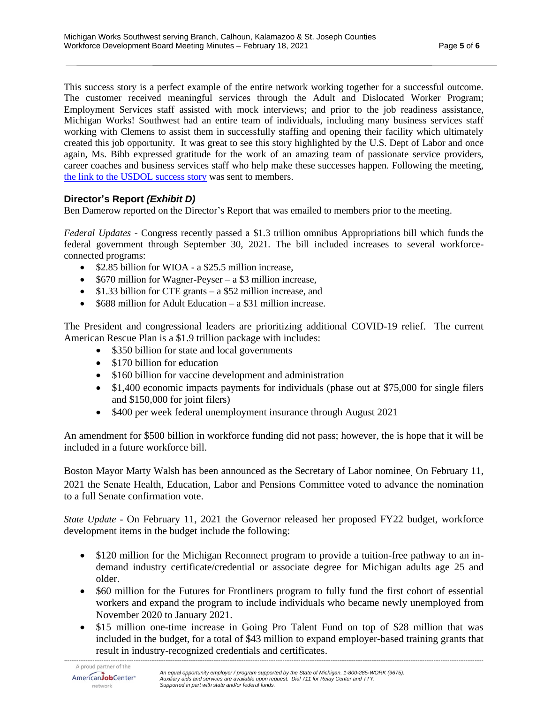This success story is a perfect example of the entire network working together for a successful outcome. The customer received meaningful services through the Adult and Dislocated Worker Program; Employment Services staff assisted with mock interviews; and prior to the job readiness assistance, Michigan Works! Southwest had an entire team of individuals, including many business services staff working with Clemens to assist them in successfully staffing and opening their facility which ultimately created this job opportunity. It was great to see this story highlighted by the U.S. Dept of Labor and once again, Ms. Bibb expressed gratitude for the work of an amazing team of passionate service providers, career coaches and business services staff who help make these successes happen. Following the meeting, [the link to the USDOL success story](https://www.dol.gov/agencies/eta/performance) was sent to members.

## **Director's Report** *(Exhibit D)*

Ben Damerow reported on the Director's Report that was emailed to members prior to the meeting.

*Federal Updates* - Congress recently passed a \$1.3 trillion omnibus Appropriations bill which funds the federal government through September 30, 2021. The bill included increases to several workforceconnected programs:

- \$2.85 billion for WIOA a \$25.5 million increase.
- \$670 million for Wagner-Peyser a \$3 million increase,
- \$1.33 billion for CTE grants a \$52 million increase, and
- \$688 million for Adult Education a \$31 million increase.

The President and congressional leaders are prioritizing additional COVID-19 relief. The current American Rescue Plan is a \$1.9 trillion package with includes:

- \$350 billion for state and local governments
- \$170 billion for education
- \$160 billion for vaccine development and administration
- \$1,400 economic impacts payments for individuals (phase out at \$75,000 for single filers and \$150,000 for joint filers)
- \$400 per week federal unemployment insurance through August 2021

An amendment for \$500 billion in workforce funding did not pass; however, the is hope that it will be included in a future workforce bill.

Boston Mayor Marty Walsh has been announced as the Secretary of Labor nominee. On February 11, 2021 the Senate Health, Education, Labor and Pensions Committee voted to advance the nomination to a full Senate confirmation vote.

*State Update -* On February 11, 2021 the Governor released her proposed FY22 budget, workforce development items in the budget include the following:

- \$120 million for the Michigan Reconnect program to provide a tuition-free pathway to an indemand industry certificate/credential or associate degree for Michigan adults age 25 and older.
- \$60 million for the Futures for Frontliners program to fully fund the first cohort of essential workers and expand the program to include individuals who became newly unemployed from November 2020 to January 2021.
- \$15 million one-time increase in Going Pro Talent Fund on top of \$28 million that was included in the budget, for a total of \$43 million to expand employer-based training grants that result in industry-recognized credentials and certificates.